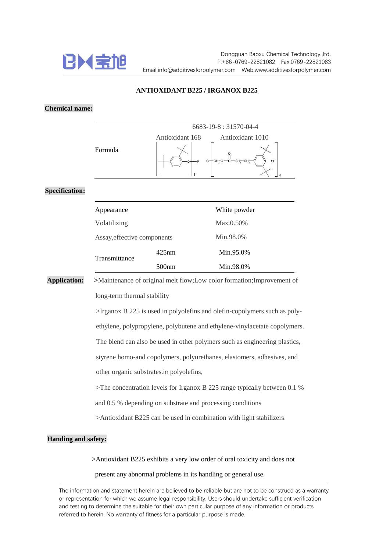

## **ANTIOXIDANT B225 / IRGANOX B225**

## **Chemical name:**



## **Specification:**

| Appearance                  |                   | White powder |
|-----------------------------|-------------------|--------------|
| Volatilizing                |                   | $Max.0.50\%$ |
| Assay, effective components |                   | Min.98.0%    |
| Transmittance               | $425$ nm          | Min.95.0%    |
|                             | 500 <sub>nm</sub> | Min.98.0%    |

**Application: >**Maintenance of original melt flow;Low color formation;Improvement of

long-term thermal stability

>Irganox B 225 is used in polyolefins and olefin-copolymers such as polyethylene, polypropylene, polybutene and ethylene-vinylacetate copolymers.

The blend can also be used in other polymers such as engineering plastics,

styrene homo-and copolymers, polyurethanes, elastomers, adhesives, and

other organic substrates.in polyolefins,

>The concentration levels for Irganox B 225 range typically between 0.1 %

and 0.5 % depending on substrate and processing conditions

>Antioxidant B225 can be used in combination with light stabilizers.

## **Handing and safety:**

>Antioxidant B225 exhibits a very low order of oral toxicity and does not

present any abnormal problems in its handling or general use.

The information and statement herein are believed to be reliable but are not to be construed as a warranty or representation for which we assume legal responsibility, Users should undertake sufficient verification and testing to determine the suitable for their own particular purpose of any information or products referred to herein. No warranty of fitness for a particular purpose is made.